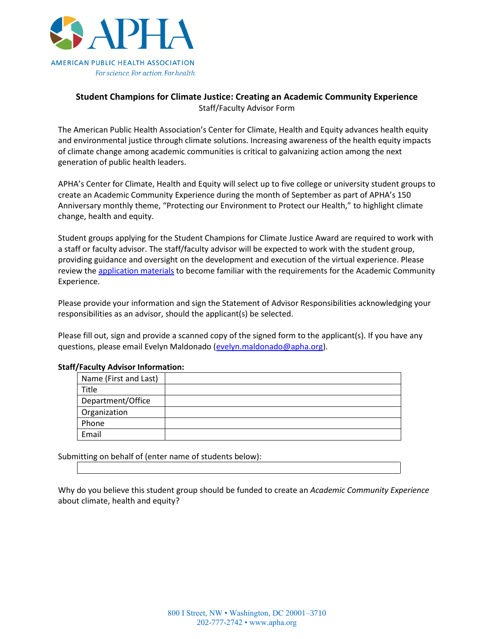

## **Student Champions for Climate Justice: Creating an Academic Community Experience** Staff/Faculty Advisor Form

The American Public Health Association's Center for Climate, Health and Equity advances health equity and environmental justice through climate solutions. Increasing awareness of the health equity impacts of climate change among academic communities is critical to galvanizing action among the next generation of public health leaders.

APHA's Center for Climate, Health and Equity will select up to five college or university student groups to create an Academic Community Experience during the month of September as part of APHA's 150 Anniversary monthly theme, "Protecting our Environment to Protect our Health," to highlight climate change, health and equity.

Student groups applying for the Student Champions for Climate Justice Award are required to work with a staff or faculty advisor. The staff/faculty advisor will be expected to work with the student group, providing guidance and oversight on the development and execution of the virtual experience. Please review the [application materials](https://apha.org/climate) to become familiar with the requirements for the Academic Community Experience.

Please provide your information and sign the Statement of Advisor Responsibilities acknowledging your responsibilities as an advisor, should the applicant(s) be selected.

Please fill out, sign and provide a scanned copy of the signed form to the applicant(s). If you have any questions, please email Evelyn Maldonado [\(evelyn.maldonado@apha.org\)](mailto:evelyn.maldonado@apha.org).

| Name (First and Last) |  |
|-----------------------|--|
| Title                 |  |
| Department/Office     |  |
| Organization          |  |
| Phone                 |  |
| Email                 |  |
|                       |  |

## **Staff/Faculty Advisor Information:**

Submitting on behalf of (enter name of students below):

Why do you believe this student group should be funded to create an *Academic Community Experience* about climate, health and equity?